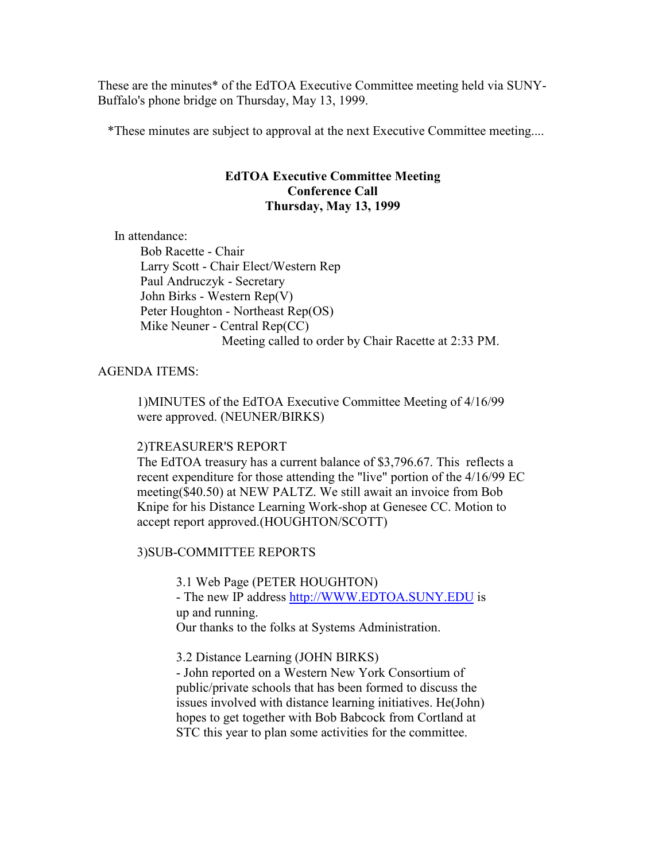These are the minutes\* of the EdTOA Executive Committee meeting held via SUNY-Buffalo's phone bridge on Thursday, May 13, 1999.

\*These minutes are subject to approval at the next Executive Committee meeting....

## EdTOA Executive Committee Meeting Conference Call Thursday, May 13, 1999

In attendance:

 Bob Racette - Chair Larry Scott - Chair Elect/Western Rep Paul Andruczyk - Secretary John Birks - Western Rep(V) Peter Houghton - Northeast Rep(OS) Mike Neuner - Central Rep(CC) Meeting called to order by Chair Racette at 2:33 PM.

AGENDA ITEMS:

1)MINUTES of the EdTOA Executive Committee Meeting of 4/16/99 were approved. (NEUNER/BIRKS)

# 2)TREASURER'S REPORT

The EdTOA treasury has a current balance of \$3,796.67. This reflects a recent expenditure for those attending the "live" portion of the 4/16/99 EC meeting(\$40.50) at NEW PALTZ. We still await an invoice from Bob Knipe for his Distance Learning Work-shop at Genesee CC. Motion to accept report approved.(HOUGHTON/SCOTT)

3)SUB-COMMITTEE REPORTS

3.1 Web Page (PETER HOUGHTON)

- The new IP address http://WWW.EDTOA.SUNY.EDU is up and running.

Our thanks to the folks at Systems Administration.

3.2 Distance Learning (JOHN BIRKS)

- John reported on a Western New York Consortium of public/private schools that has been formed to discuss the issues involved with distance learning initiatives. He(John) hopes to get together with Bob Babcock from Cortland at STC this year to plan some activities for the committee.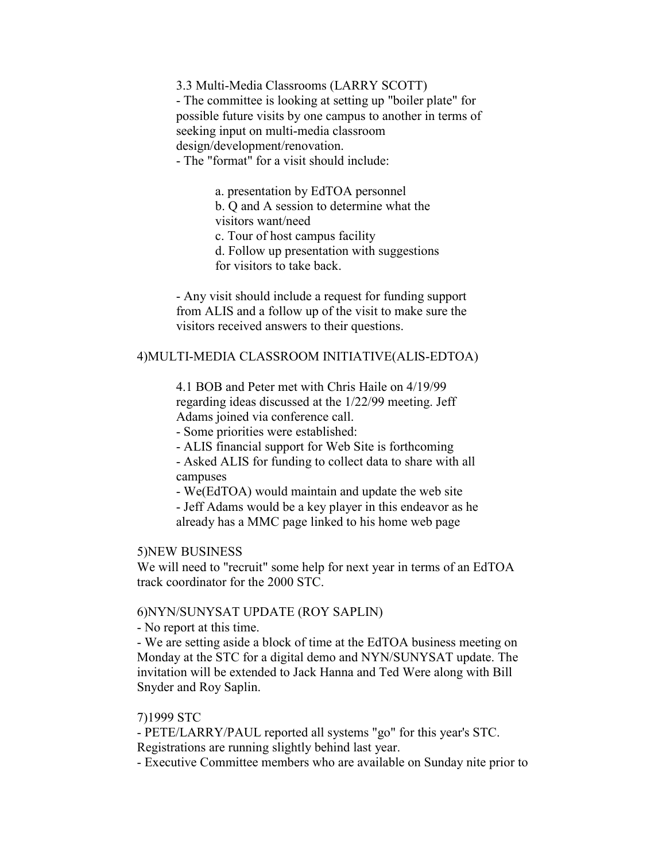3.3 Multi-Media Classrooms (LARRY SCOTT) - The committee is looking at setting up "boiler plate" for possible future visits by one campus to another in terms of seeking input on multi-media classroom design/development/renovation.

- The "format" for a visit should include:

a. presentation by EdTOA personnel b. Q and A session to determine what the visitors want/need c. Tour of host campus facility d. Follow up presentation with suggestions for visitors to take back.

- Any visit should include a request for funding support from ALIS and a follow up of the visit to make sure the visitors received answers to their questions.

#### 4)MULTI-MEDIA CLASSROOM INITIATIVE(ALIS-EDTOA)

4.1 BOB and Peter met with Chris Haile on 4/19/99 regarding ideas discussed at the 1/22/99 meeting. Jeff Adams joined via conference call.

- Some priorities were established:

- ALIS financial support for Web Site is forthcoming

- Asked ALIS for funding to collect data to share with all campuses

- We(EdTOA) would maintain and update the web site

- Jeff Adams would be a key player in this endeavor as he already has a MMC page linked to his home web page

## 5)NEW BUSINESS

We will need to "recruit" some help for next year in terms of an EdTOA track coordinator for the 2000 STC.

#### 6)NYN/SUNYSAT UPDATE (ROY SAPLIN)

- No report at this time.

- We are setting aside a block of time at the EdTOA business meeting on Monday at the STC for a digital demo and NYN/SUNYSAT update. The invitation will be extended to Jack Hanna and Ted Were along with Bill Snyder and Roy Saplin.

## 7)1999 STC

- PETE/LARRY/PAUL reported all systems "go" for this year's STC. Registrations are running slightly behind last year.

- Executive Committee members who are available on Sunday nite prior to